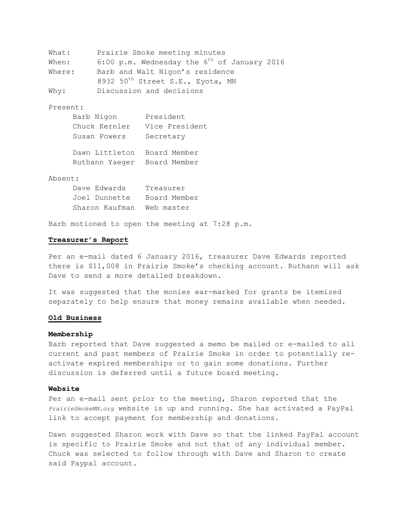```
What: Prairie Smoke meeting minutes
When: 6:00 p.m. Wednesday the 6^{\text{th}} of January 2016
Where: Barb and Walt Nigon's residence
           8932 50<sup>th</sup> Street S.E., Eyota, MN
Why: Discussion and decisions
```
# Present:

| Barb Nigon     | President      |
|----------------|----------------|
| Chuck Kernler  | Vice President |
| Susan Powers   | Secretary      |
| Dawn Littleton | Board Member   |

Ruthann Yaeger Board Member

### Absent:

| Dave Edwards   | Treasurer    |
|----------------|--------------|
| Joel Dunnette  | Board Member |
| Sharon Kaufman | Web master   |

Barb motioned to open the meeting at 7:28 p.m.

# **Treasurer's Report**

Per an e-mail dated 6 January 2016, treasurer Dave Edwards reported there is \$11,008 in Prairie Smoke's checking account. Ruthann will ask Dave to send a more detailed breakdown.

It was suggested that the monies ear-marked for grants be itemized separately to help ensure that money remains available when needed.

# **Old Business**

#### **Membership**

Barb reported that Dave suggested a memo be mailed or e-mailed to all current and past members of Prairie Smoke in order to potentially reactivate expired memberships or to gain some donations. Further discussion is deferred until a future board meeting.

## **Website**

Per an e-mail sent prior to the meeting, Sharon reported that the *PrairieSmokeMN.org* website is up and running. She has activated a PayPal link to accept payment for membership and donations.

Dawn suggested Sharon work with Dave so that the linked PayPal account is specific to Prairie Smoke and not that of any individual member. Chuck was selected to follow through with Dave and Sharon to create said Paypal account.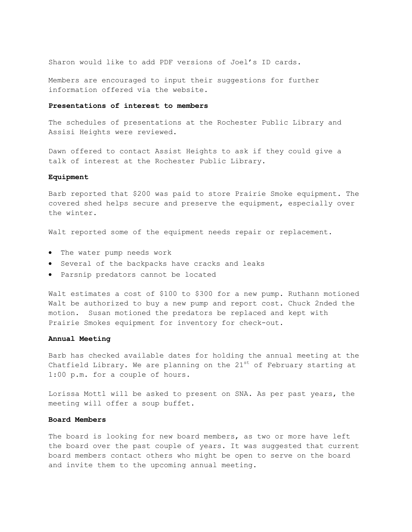Sharon would like to add PDF versions of Joel's ID cards.

Members are encouraged to input their suggestions for further information offered via the website.

### **Presentations of interest to members**

The schedules of presentations at the Rochester Public Library and Assisi Heights were reviewed.

Dawn offered to contact Assist Heights to ask if they could give a talk of interest at the Rochester Public Library.

## **Equipment**

Barb reported that \$200 was paid to store Prairie Smoke equipment. The covered shed helps secure and preserve the equipment, especially over the winter.

Walt reported some of the equipment needs repair or replacement.

- The water pump needs work
- Several of the backpacks have cracks and leaks
- Parsnip predators cannot be located

Walt estimates a cost of \$100 to \$300 for a new pump. Ruthann motioned Walt be authorized to buy a new pump and report cost. Chuck 2nded the motion. Susan motioned the predators be replaced and kept with Prairie Smokes equipment for inventory for check-out.

## **Annual Meeting**

Barb has checked available dates for holding the annual meeting at the Chatfield Library. We are planning on the  $21^{st}$  of February starting at 1:00 p.m. for a couple of hours.

Lorissa Mottl will be asked to present on SNA. As per past years, the meeting will offer a soup buffet.

## **Board Members**

The board is looking for new board members, as two or more have left the board over the past couple of years. It was suggested that current board members contact others who might be open to serve on the board and invite them to the upcoming annual meeting.